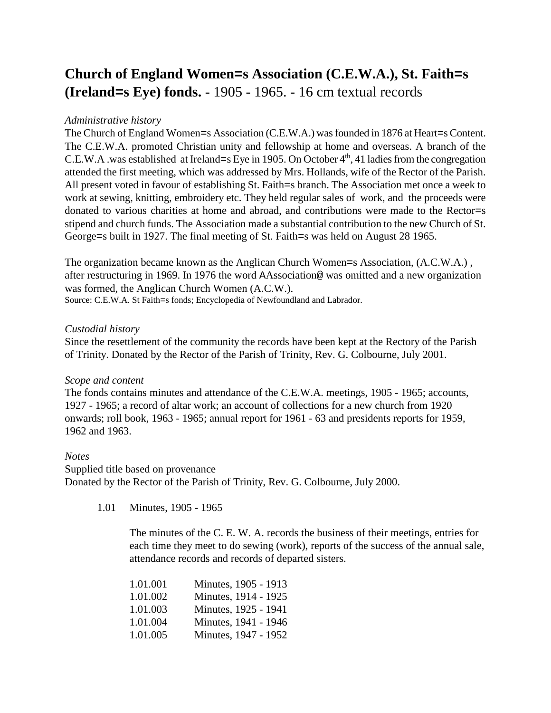# **Church of England Women=s Association (C.E.W.A.), St. Faith=s (Ireland=s Eye) fonds.** - 1905 - 1965. - 16 cm textual records

### *Administrative history*

The Church of England Women=s Association (C.E.W.A.) was founded in 1876 at Heart=s Content. The C.E.W.A. promoted Christian unity and fellowship at home and overseas. A branch of the C.E.W.A .was established at Ireland=s Eye in 1905. On October  $4<sup>th</sup>$ , 41 ladies from the congregation attended the first meeting, which was addressed by Mrs. Hollands, wife of the Rector of the Parish. All present voted in favour of establishing St. Faith=s branch. The Association met once a week to work at sewing, knitting, embroidery etc. They held regular sales of work, and the proceeds were donated to various charities at home and abroad, and contributions were made to the Rector=s stipend and church funds. The Association made a substantial contribution to the new Church of St. George=s built in 1927. The final meeting of St. Faith=s was held on August 28 1965.

The organization became known as the Anglican Church Women=s Association, (A.C.W.A.) , after restructuring in 1969. In 1976 the word AAssociation@ was omitted and a new organization was formed, the Anglican Church Women (A.C.W.).

Source: C.E.W.A. St Faith=s fonds; Encyclopedia of Newfoundland and Labrador.

### *Custodial history*

Since the resettlement of the community the records have been kept at the Rectory of the Parish of Trinity. Donated by the Rector of the Parish of Trinity, Rev. G. Colbourne, July 2001.

## *Scope and content*

The fonds contains minutes and attendance of the C.E.W.A. meetings, 1905 - 1965; accounts, 1927 - 1965; a record of altar work; an account of collections for a new church from 1920 onwards; roll book, 1963 - 1965; annual report for 1961 - 63 and presidents reports for 1959, 1962 and 1963.

#### *Notes*

Supplied title based on provenance Donated by the Rector of the Parish of Trinity, Rev. G. Colbourne, July 2000.

1.01 Minutes, 1905 - 1965

The minutes of the C. E. W. A. records the business of their meetings, entries for each time they meet to do sewing (work), reports of the success of the annual sale, attendance records and records of departed sisters.

| 1.01.001 | Minutes, 1905 - 1913 |
|----------|----------------------|
| 1.01.002 | Minutes, 1914 - 1925 |
| 1.01.003 | Minutes, 1925 - 1941 |
| 1.01.004 | Minutes, 1941 - 1946 |
| 1.01.005 | Minutes, 1947 - 1952 |